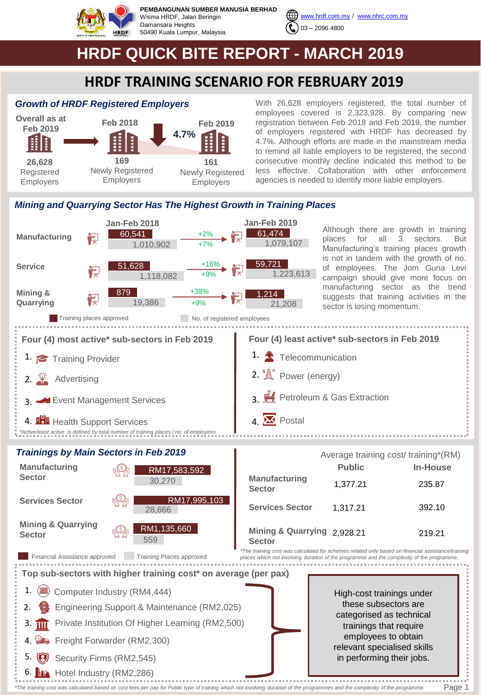

**PEMBANGUNAN SUMBER MANUSIA BERHAD** Wisma HRDF, Jalan Beringin Damansara Heights 50490 Kuala Lumpur, Malaysia



[www.hrdf.com.my](http://www.hrdf.com.my/) / [www.nhrc.com.my](http://www.nhrc.com.my/) 03 – 2096 4800

# **HRDF QUICK BITE REPORT - MARCH 2019**

### **HRDF TRAINING SCENARIO FOR FEBRUARY 2019**

#### *Growth of HRDF Registered Employers*



With 26,628 employers registered, the total number of employees covered is 2,323,928. By comparing new registration between Feb 2018 and Feb 2019, the number of employers registered with HRDF has decreased by 4.7%. Although efforts are made in the mainstream media to remind all liable employers to be registered, the second consecutive monthly decline indicated this method to be less effective. Collaboration with other enforcement agencies is needed to identify more liable employers.

#### *Mining and Quarrying Sector Has The Highest Growth in Training Places*



| <b>Manufacturing</b><br><b>Sector</b>                                                                             |  | RM17,583,592<br>30,270 | <b>Manufactu</b><br><b>Sector</b> |  |  |  |
|-------------------------------------------------------------------------------------------------------------------|--|------------------------|-----------------------------------|--|--|--|
| <b>Services Sector</b>                                                                                            |  | RM17,995,103<br>28,666 | <b>Services 9</b>                 |  |  |  |
| <b>Mining &amp; Quarrying</b><br><b>Sector</b>                                                                    |  | RM1,135,660<br>559     | Mining &<br><b>Sector</b>         |  |  |  |
| *The training cost wa<br>Financial Assistance approved<br><b>Training Places approved</b><br>places which not inv |  |                        |                                   |  |  |  |
| Top sub-sectors with higher training cost* on average (per pax)                                                   |  |                        |                                   |  |  |  |
| Computer Industry (RM4,444)                                                                                       |  |                        |                                   |  |  |  |

|  |  |  |  | 2. Engineering Support & Maintenance (RM2,025) |  |
|--|--|--|--|------------------------------------------------|--|
|--|--|--|--|------------------------------------------------|--|

3. **IIII** Private Institution Of Higher Learning (RM2,500)

4. Freight Forwarder (RM2,300)

Security Firms (RM2,545)

6. Hotel Industry (RM2,286)

High-cost trainings under these subsectors are categorised as technical trainings that require employees to obtain relevant specialised skills in performing their jobs.

**Public In-House**

235.87

392.10

219.21

*\*The training cost was calculated for schemes related only based on financial assistance/training places which not involving duration of the programme and the complexity of the programme.* 

. . . . . . . . . . . . .

2,928.21 **Mining & Quarrying** 

**Manufacturing** 

**Services Sector**

1,377.21

1,317.21

. . . . . . . . *\*The training cost was calculated based on cost fees per pax for Public type of training which not involving duration of the programmes and the complexity of the programme.* 

Page 1